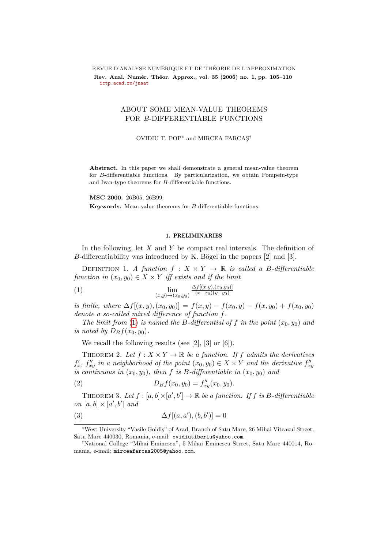REVUE D'ANALYSE NUMÉRIQUE ET DE THÉORIE DE L'APPROXIMATION

Rev. Anal. Numér. Théor. Approx., vol. 35 (2006) no. 1, pp. 105–110 **[ictp.acad.ro/jnaat](www.ictp.acad.ro/jnaat)**

## ABOUT SOME MEAN-VALUE THEOREMS FOR *B*-DIFFERENTIABLE FUNCTIONS

OVIDIU T. POP<sup>∗</sup> and MIRCEA FARCAS¸†

**Abstract.** In this paper we shall demonstrate a general mean-value theorem for *B*-differentiable functions. By particularization, we obtain Pompeiu-type and Ivan-type theorems for *B*-differentiable functions.

**MSC 2000.** 26B05, 26B99. **Keywords.** Mean-value theorems for *B*-differentiable functions.

## <span id="page-0-0"></span>1. PRELIMINARIES

In the following, let *X* and *Y* be compact real intervals. The definition of *B*-differentiability was introduced by K. Bögel in the papers  $[2]$  and  $[3]$ .

DEFINITION 1. *A function*  $f : X \times Y \to \mathbb{R}$  *is called a B-differentiable function in*  $(x_0, y_0) \in X \times Y$  *iff exists and if the limit* 

(1) 
$$
\lim_{(x,y)\to(x_0,y_0)}\frac{\Delta f[(x,y),(x_0,y_0)]}{(x-x_0)(y-y_0)}
$$

*is finite, where*  $\Delta f[(x, y), (x_0, y_0)] = f(x, y) - f(x_0, y) - f(x, y_0) + f(x_0, y_0)$ *denote a so-called mixed difference of function f.*

*The limit from* [\(1\)](#page-0-0) *is named the B-differential of f in the point*  $(x_0, y_0)$  *and is noted by*  $D_Bf(x_0, y_0)$ *.* 

We recall the following results (see  $[2]$ ,  $[3]$  or  $[6]$ ).

THEOREM 2. Let  $f: X \times Y \to \mathbb{R}$  be a function. If f admits the derivatives  $f'_x$ ,  $f''_{xy}$  in a neighborhood of the point  $(x_0, y_0) \in X \times Y$  and the derivative  $f''_{xy}$ *is continuous in*  $(x_0, y_0)$ *, then f is B-differentiable in*  $(x_0, y_0)$  *and* 

(2) 
$$
D_Bf(x_0, y_0) = f''_{xy}(x_0, y_0).
$$

THEOREM 3. Let  $f : [a, b] \times [a', b'] \rightarrow \mathbb{R}$  be a function. If  $f$  is  $B$ -differentiable *on*  $[a, b] \times [a', b']$  *and* 

(3) 
$$
\Delta f[(a, a'), (b, b')] = 0
$$

<sup>∗</sup>West University "Vasile Goldi¸s" of Arad, Branch of Satu Mare, 26 Mihai Viteazul Street, Satu Mare 440030, Romania, e-mail: ovidiutiberiu@yahoo.com.

<sup>†</sup>National College "Mihai Eminescu", 5 Mihai Eminescu Street, Satu Mare 440014, Romania, e-mail: mirceafarcas2005@yahoo.com.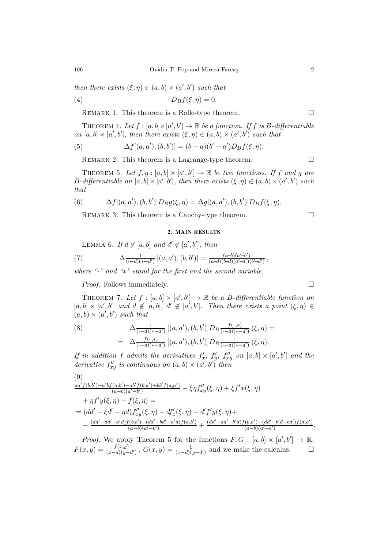*then there exists*  $(\xi, \eta) \in (a, b) \times (a', b')$  *such that* 

$$
(4) \t\t\t D_Bf(\xi,\eta)=0.
$$

REMARK 1. This theorem is a Rolle-type theorem.  $\Box$ 

THEOREM 4. Let  $f : [a, b] \times [a', b'] \rightarrow \mathbb{R}$  be a function. If  $f$  is  $B$ -differentiable *on*  $[a, b] \times [a', b']$ , then there exists  $(\xi, \eta) \in (a, b) \times (a', b')$  such that

(5) 
$$
\Delta f[(a, a'), (b, b')] = (b - a)(b' - a')D_Bf(\xi, \eta).
$$

REMARK 2. This theorem is a Lagrange-type theorem.  $\Box$ 

THEOREM 5. Let  $f, g : [a, b] \times [a', b'] \rightarrow \mathbb{R}$  be two functions. If f and g are *B*-differentiable on  $[a, b] \times [a', b']$ , then there exists  $(\xi, \eta) \in (a, b) \times (a', b')$  such *that*

(6) 
$$
\Delta f[(a, a'), (b, b')]D_B g(\xi, \eta) = \Delta g[(a, a'), (b, b')]D_B f(\xi, \eta).
$$

REMARK 3. This theorem is a Cauchy-type theorem.  $\Box$ 

2. MAIN RESULTS

LEMMA 6. If  $d \notin [a, b]$  and  $d' \notin [a', b']$ , then

(7) 
$$
\Delta_{\overline{(-d)}(*-d')} [(a,a'),(b,b')] = \frac{(a-b)(a'-b')}{(a-d)(b-d)(a'-d')(b'-d')} ,
$$

*where "*·*" and "*∗*" stand for the first and the second variable.*

*Proof.* Follows immediately. □

THEOREM 7. Let  $f : [a, b] \times [a', b'] \rightarrow \mathbb{R}$  be a B-differentiable function on  $[a, b] \times [a', b']$  and  $d \notin [a, b]$ ,  $d' \notin [a', b']$ . Then there exists a point  $(\xi, \eta) \in$  $(a, b) \times (a', b')$  *such that* 

(8) 
$$
\Delta_{\overline{(-d)(*-d')}} \left[ (a, a'), (b, b') \right] D_B \frac{f(\cdot, *)}{(\cdot - d)(*-d')} (\xi, \eta) =
$$

$$
= \Delta_{\overline{(-d)(*-d')}} \left[ (a, a'), (b, b') \right] D_B \frac{1}{(\cdot - d)(*-d')} (\xi, \eta).
$$

*If in addition f admits the derivatives*  $f'_x$ ,  $f'_y$ ,  $f''_{xy}$  *on*  $[a, b] \times [a', b']$  *and the* derivative  $f''_{xy}$  is continuous on  $(a, b) \times (a', b')$  then

$$
(9)
$$
\n
$$
\frac{aa'f(b,b')-a'bf(a,b')-ab'f(b,a')+bb'f(a,a')}{(a-b)(a'-b')} - \xi\eta f''_{xy}(\xi,\eta) + \xi f'x(\xi,\eta)
$$
\n
$$
+ \eta f'y(\xi,\eta) - f(\xi,\eta) =
$$
\n
$$
= (dd' - \xi d' - \eta d)f''_{xy}(\xi,\eta) + df'_x(\xi,\eta) + d'f'y(\xi,\eta) +
$$
\n
$$
- \frac{(dd' - ad' - a'd)f(b,b') - (dd' - bd' - a'd)f(a,b')}{(a-b)(a'-b')} + \frac{(dd' - ad' - b'd)f(b,a') - (dd' - b'd')f(a,a')}{(a-b)(a'-b')}.
$$

*Proof.* We apply Theorem 5 for the functions  $F, G : [a, b] \times [a', b'] \rightarrow \mathbb{R}$ ,  $F(x,y) = \frac{f(x,y)}{(x-d)(y-d')}$ ,  $G(x,y) = \frac{1}{(x-d)(y-d')}$  and we make the calculus.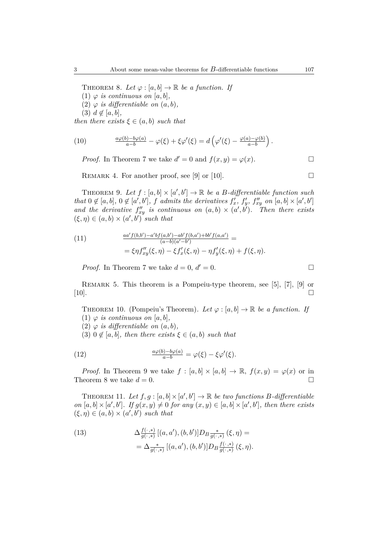THEOREM 8. Let  $\varphi : [a, b] \to \mathbb{R}$  be a function. If

(1)  $\varphi$  *is continuous on* [a, b],

(2)  $\varphi$  *is differentiable on*  $(a, b)$ ,

 $(3)$   $d \notin [a, b]$ ,

*then there exists*  $\xi \in (a, b)$  *such that* 

(10) 
$$
\frac{a\varphi(b)-b\varphi(a)}{a-b} - \varphi(\xi) + \xi\varphi'(\xi) = d\left(\varphi'(\xi) - \frac{\varphi(a)-\varphi(b)}{a-b}\right).
$$

*Proof.* In Theorem 7 we take  $d' = 0$  and  $f(x, y) = \varphi(x)$ .

REMARK 4. For another proof, see [9] or [10].

THEOREM 9. Let  $f : [a, b] \times [a', b'] \rightarrow \mathbb{R}$  be a *B*-differentiable function such that  $0 \notin [a, b]$ ,  $0 \notin [a', b']$ , f admits the derivatives  $f'_x$ ,  $f'_y$ ,  $f''_{xy}$  on  $[a, b] \times [a', b']$ and the derivative  $f''_{xy}$  is continuous on  $(a,b) \times (a',b')$ . Then there exists  $(\xi, \eta) \in (a, b) \times (a', b')$  such that

(11) 
$$
\frac{aa' f(b,b') - a' b f(a,b') - ab' f(b,a') + bb' f(a,a')}{(a-b)(a'-b')} = \frac{\xi \eta f''_{xy}(\xi, \eta) - \xi f'_x(\xi, \eta) - \eta f'_y(\xi, \eta) + f(\xi, \eta)}{}
$$

*Proof.* In Theorem 7 we take  $d = 0, d' = 0$ .

Remark 5. This theorem is a Pompeiu-type theorem, see [5], [7], [9] or [10].

THEOREM 10. (Pompeiu's Theorem). Let  $\varphi : [a, b] \to \mathbb{R}$  be a function. If (1)  $\varphi$  *is continuous on* [a, b],

(2)  $\varphi$  *is differentiable on*  $(a, b)$ ,

 $(3)$   $0 \notin [a, b]$ *, then there exists*  $\xi \in (a, b)$  *such that* 

(12) 
$$
\frac{a\varphi(b)-b\varphi(a)}{a-b} = \varphi(\xi) - \xi\varphi'(\xi).
$$

*Proof.* In Theorem 9 we take  $f : [a, b] \times [a, b] \rightarrow \mathbb{R}$ ,  $f(x, y) = \varphi(x)$  or in Theorem 8 we take  $d = 0$ .

THEOREM 11. Let  $f, g : [a, b] \times [a', b'] \rightarrow \mathbb{R}$  be two functions B-differentiable *on*  $[a, b] \times [a', b']$ . If  $g(x, y) \neq 0$  *for any*  $(x, y) \in [a, b] \times [a', b']$ , then there exists  $(\xi, \eta) \in (a, b) \times (a', b')$  *such that* 

(13) 
$$
\Delta \frac{f(\cdot,*)}{g(\cdot,*)} [(a,a'),(b,b')] D_B \frac{*}{g(\cdot,*)} (\xi, \eta) =
$$

$$
= \Delta \frac{*}{g(\cdot,*)} [(a,a'),(b,b')] D_B \frac{f(\cdot,*)}{g(\cdot,*)} (\xi, \eta).
$$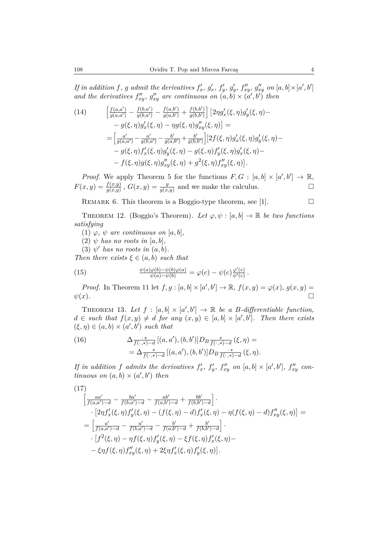If in addition f, g admit the derivatives  $f'_x$ ,  $g'_x$ ,  $f'_y$ ,  $g'_y$ ,  $f''_{xy}$ ,  $g''_{xy}$  on  $[a, b] \times [a', b']$ and the derivatives  $f''_{xy}$ ,  $g''_{xy}$  are continuous on  $(a, b) \times (a', b')$  then

(14) 
$$
\begin{aligned}\n\left[\frac{f(a,a')}{g(a,a')} - \frac{f(b,a')}{g(b,a')} - \frac{f(a,b')}{g(a,b')} + \frac{f(b,b')}{g(b,b')} \right] \left[2\eta g'_x(\xi,\eta)g'_y(\xi,\eta) - g(\xi,\eta)g'_x(\xi,\eta) - \eta g(\xi,\eta)g''_x(\xi,\eta) \right] &= \\
&= \left[\frac{a'}{g(a,a')} - \frac{a'}{g(b,a')} - \frac{b'}{g(a,b')} + \frac{b'}{g(b,b')} \right] \left[2f(\xi,\eta)g'_x(\xi,\eta)g'_y(\xi,\eta) - \eta(\xi,\eta)f'_x(\xi,\eta)g'_x(\xi,\eta) - \eta(\xi,\eta)f'_x(\xi,\eta)g'_x(\xi,\eta) - \eta(\xi,\eta)g''_x(\xi,\eta) + g^2(\xi,\eta)f''_x(\xi,\eta) \right].\n\end{aligned}
$$

*Proof.* We apply Theorem 5 for the functions  $F, G : [a, b] \times [a', b'] \rightarrow \mathbb{R}$ ,  $F(x,y) = \frac{f(x,y)}{g(x,y)}$ ,  $G(x,y) = \frac{y}{g(x,y)}$  and we make the calculus.

REMARK 6. This theorem is a Boggio-type theorem, see [1].  $\Box$ 

THEOREM 12. (Boggio's Theorem). Let  $\varphi, \psi : [a, b] \to \mathbb{R}$  be two functions *satisfying*

(1)  $\varphi$ *,*  $\psi$  *are continuous on* [a, b]*,* 

(2)  $\psi$  *has no roots in* [a, b],

 $(3)$   $\psi'$  has no roots in  $(a, b)$ .

*Then there exists*  $\xi \in (a, b)$  *such that* 

(15) 
$$
\frac{\psi(a)\varphi(b)-\psi(b)\varphi(a)}{\psi(a)-\psi(b)} = \varphi(c) - \psi(c)\frac{\varphi'(c)}{\psi'(c)}.
$$

*Proof.* In Theorem 11 let  $f, g : [a, b] \times [a', b'] \rightarrow \mathbb{R}, f(x, y) = \varphi(x), g(x, y) =$  $\psi(x)$ .

THEOREM 13. Let  $f : [a, b] \times [a', b'] \rightarrow \mathbb{R}$  be a *B*-differentiable function,  $d \in \text{such that } f(x, y) \neq d \text{ for any } (x, y) \in [a, b] \times [a', b']$ . Then there exists  $(\xi, \eta) \in (a, b) \times (a', b')$  *such that* 

(16) 
$$
\Delta_{\overline{f(\cdot,*)-d}} \left[ (a,a'), (b,b') \right] D_B \underset{\overline{f(\cdot,*)-d}}{\underset{\overline{f(\cdot,*)-d}}{\ast}} (\xi, \eta) = \\ = \Delta_{\overline{f(\cdot,*)-d}} \left[ (a,a'), (b,b') \right] D_B \underset{\overline{f(\cdot,*)-d}}{\underset{\overline{f(\cdot,*)-d}}{\ast}} (\xi, \eta).
$$

If in addition f admits the derivatives  $f'_x$ ,  $f'_y$ ,  $f''_{xy}$  on  $[a, b] \times [a', b']$ ,  $f''_{xy}$  con*tinuous on*  $(a, b) \times (a', b')$  *then* 

$$
(17)
$$

$$
\begin{aligned}\n&\left[\frac{aa'}{f(a,a')-d} - \frac{ba'}{f(b,a')-d} - \frac{ab'}{f(a,b')-d} + \frac{bb'}{f(b,b')-d}\right] \\
&\cdot [2\eta f'_x(\xi,\eta)f'_y(\xi,\eta) - (f(\xi,\eta)-d)f'_x(\xi,\eta) - \eta(f(\xi,\eta)-d)f''_{xy}(\xi,\eta)] = \\
&= \left[\frac{a'}{f(a,a')-d} - \frac{a'}{f(b,a')-d} - \frac{b'}{f(a,b')-d} + \frac{b'}{f(b,b')-d}\right] \\
&\cdot [f^2(\xi,\eta) - \eta f(\xi,\eta)f'_y(\xi,\eta) - \xi f(\xi,\eta)f'_x(\xi,\eta) - \\
&\left[-\xi\eta f(\xi,\eta)f''_{xy}(\xi,\eta) + 2\xi\eta f'_x(\xi,\eta)f'_y(\xi,\eta)\right].\n\end{aligned}
$$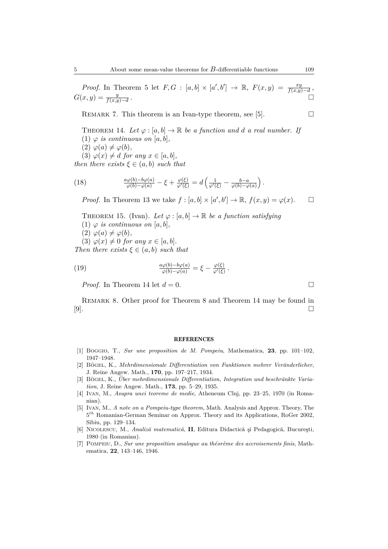REMARK 7. This theorem is an Ivan-type theorem, see [5].  $\Box$ 

- THEOREM 14. Let  $\varphi : [a, b] \to \mathbb{R}$  be a function and d a real number. If
- (1)  $\varphi$  *is continuous on* [a, b],
- $(2) \varphi(a) \neq \varphi(b)$ ,

 $(3) \varphi(x) \neq d$  *for any*  $x \in [a, b]$ *,* 

*then there exists*  $\xi \in (a, b)$  *such that* 

(18) 
$$
\frac{a\varphi(b)-b\varphi(a)}{\varphi(b)-\varphi(a)} - \xi + \frac{\varphi(\xi)}{\varphi'(\xi)} = d\left(\frac{1}{\varphi'(\xi)} - \frac{b-a}{\varphi(b)-\varphi(a)}\right).
$$

*Proof.* In Theorem 13 we take  $f : [a, b] \times [a', b'] \rightarrow \mathbb{R}, f(x, y) = \varphi(x)$ .  $\Box$ 

THEOREM 15. (Ivan). Let  $\varphi : [a, b] \to \mathbb{R}$  be a function satisfying (1)  $\varphi$  *is continuous on* [a, b],  $(2) \varphi(a) \neq \varphi(b)$ ,  $(3) \varphi(x) \neq 0$  *for any*  $x \in [a, b]$ *. Then there exists*  $\xi \in (a, b)$  *such that* 

(19) 
$$
\frac{a\varphi(b)-b\varphi(a)}{\varphi(b)-\varphi(a)} = \xi - \frac{\varphi(\xi)}{\varphi'(\xi)}.
$$

*Proof.* In Theorem 14 let  $d = 0$ .

REMARK 8. Other proof for Theorem 8 and Theorem 14 may be found in [9].

## **REFERENCES**

- [1] Boggio, T., *Sur une proposition de M. Pompeiu*, Mathematica, **23**, pp. 101–102, 1947–1948.
- [2] Bögel, K., *Mehrdimensionale Differentiation von Funktionen mehrer Veränderlicher*, J. Reine Angew. Math., **170**, pp. 197–217, 1934.
- [3] BÖGEL, K., *Über mehrdimensionale Differentiation, Integration und beschränkte Variation*, J. Reine Angew. Math., **173**, pp. 5–29, 1935.
- [4] Ivan, M., *Asupra unei teoreme de medie*, Atheneum Cluj, pp. 23–25, 1970 (in Romanian).
- [5] Ivan, M., *A note on a Pompeiu-type theorem*, Math. Analysis and Approx. Theory, The 5 *th* Romanian-German Seminar on Approx. Theory and its Applications, RoGer 2002, Sibiu, pp. 129–134.
- [6] NICOLESCU, M., *Analiză matematică*, **II**, Editura Didactică și Pedagogică, București, 1980 (in Romanian).
- [7] POMPEIU, D., *Sur une proposition analogue au théorème des accroisements finis*, Mathematica, **22**, 143–146, 1946.